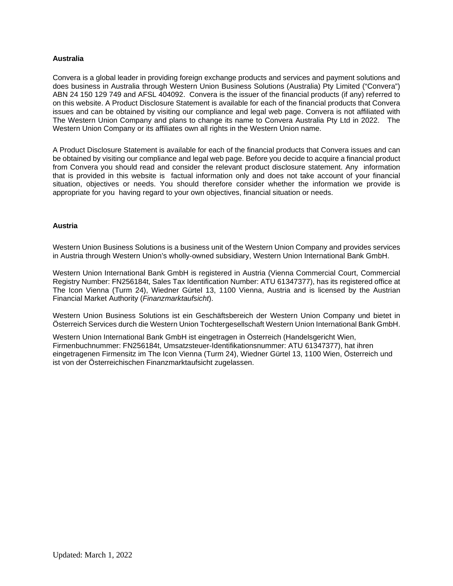### **Australia**

Convera is a global leader in providing foreign exchange products and services and payment solutions and does business in Australia through Western Union Business Solutions (Australia) Pty Limited ("Convera") ABN 24 150 129 749 and AFSL 404092. Convera is the issuer of the financial products (if any) referred to on this website. A Product Disclosure Statement is available for each of the financial products that Convera issues and can be obtained by visiting our compliance and legal web page. Convera is not affiliated with The Western Union Company and plans to change its name to Convera Australia Pty Ltd in 2022. The Western Union Company or its affiliates own all rights in the Western Union name.

A Product Disclosure Statement is available for each of the financial products that Convera issues and can be obtained by visiting our compliance and legal web page. Before you decide to acquire a financial product from Convera you should read and consider the relevant product disclosure statement. Any information that is provided in this website is factual information only and does not take account of your financial situation, objectives or needs. You should therefore consider whether the information we provide is appropriate for you having regard to your own objectives, financial situation or needs.

### **Austria**

Western Union Business Solutions is a business unit of the Western Union Company and provides services in Austria through Western Union's wholly-owned subsidiary, Western Union International Bank GmbH.

Western Union International Bank GmbH is registered in Austria (Vienna Commercial Court, Commercial Registry Number: FN256184t, Sales Tax Identification Number: ATU 61347377), has its registered office at The Icon Vienna (Turm 24), Wiedner Gürtel 13, 1100 Vienna, Austria and is licensed by the Austrian Financial Market Authority (*Finanzmarktaufsicht*).

Western Union Business Solutions ist ein Geschäftsbereich der Western Union Company und bietet in Österreich Services durch die Western Union Tochtergesellschaft Western Union International Bank GmbH.

Western Union International Bank GmbH ist eingetragen in Österreich (Handelsgericht Wien, Firmenbuchnummer: FN256184t, Umsatzsteuer-Identifikationsnummer: ATU 61347377), hat ihren eingetragenen Firmensitz im The Icon Vienna (Turm 24), Wiedner Gürtel 13, 1100 Wien, Österreich und ist von der Österreichischen Finanzmarktaufsicht zugelassen.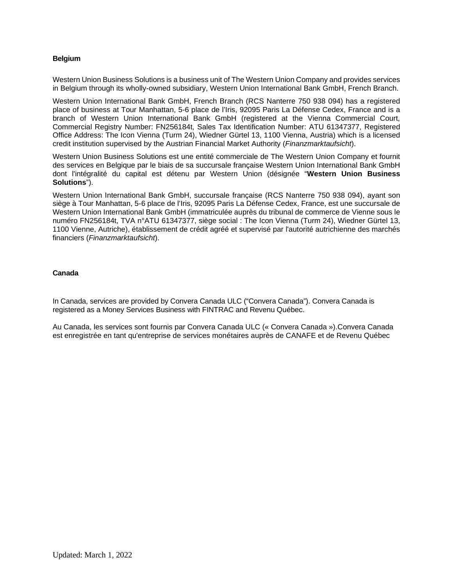## **Belgium**

Western Union Business Solutions is a business unit of The Western Union Company and provides services in Belgium through its wholly-owned subsidiary, Western Union International Bank GmbH, French Branch.

Western Union International Bank GmbH, French Branch (RCS Nanterre 750 938 094) has a registered place of business at Tour Manhattan, 5-6 place de l'Iris, 92095 Paris La Défense Cedex, France and is a branch of Western Union International Bank GmbH (registered at the Vienna Commercial Court, Commercial Registry Number: FN256184t, Sales Tax Identification Number: ATU 61347377, Registered Office Address: The Icon Vienna (Turm 24), Wiedner Gürtel 13, 1100 Vienna, Austria) which is a licensed credit institution supervised by the Austrian Financial Market Authority (*Finanzmarktaufsicht*).

Western Union Business Solutions est une entité commerciale de The Western Union Company et fournit des services en Belgique par le biais de sa succursale française Western Union International Bank GmbH dont l'intégralité du capital est détenu par Western Union (désignée "**Western Union Business Solutions**").

Western Union International Bank GmbH, succursale française (RCS Nanterre 750 938 094), ayant son siège à Tour Manhattan, 5-6 place de l'Iris, 92095 Paris La Défense Cedex, France, est une succursale de Western Union International Bank GmbH (immatriculée auprès du tribunal de commerce de Vienne sous le numéro FN256184t, TVA n°ATU 61347377, siège social : The Icon Vienna (Turm 24), Wiedner Gürtel 13, 1100 Vienne, Autriche), établissement de crédit agréé et supervisé par l'autorité autrichienne des marchés financiers (*Finanzmarktaufsicht*).

## **Canada**

In Canada, services are provided by Convera Canada ULC ("Convera Canada"). Convera Canada is registered as a Money Services Business with FINTRAC and Revenu Québec.

Au Canada, les services sont fournis par Convera Canada ULC (« Convera Canada »).Convera Canada est enregistrée en tant qu'entreprise de services monétaires auprès de CANAFE et de Revenu Québec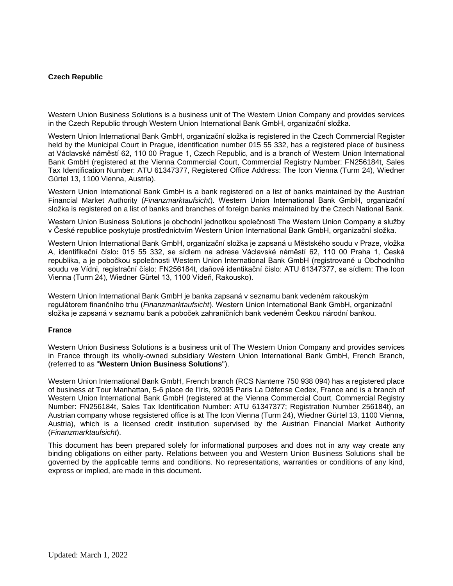## **Czech Republic**

Western Union Business Solutions is a business unit of The Western Union Company and provides services in the Czech Republic through Western Union International Bank GmbH, organizační složka.

Western Union International Bank GmbH, organizační složka is registered in the Czech Commercial Register held by the Municipal Court in Prague, identification number 015 55 332, has a registered place of business at Václavské náměstí 62, 110 00 Prague 1, Czech Republic, and is a branch of Western Union International Bank GmbH (registered at the Vienna Commercial Court, Commercial Registry Number: FN256184t, Sales Tax Identification Number: ATU 61347377, Registered Office Address: The Icon Vienna (Turm 24), Wiedner Gürtel 13, 1100 Vienna, Austria).

Western Union International Bank GmbH is a bank registered on a list of banks maintained by the Austrian Financial Market Authority (*Finanzmarktaufsicht*). Western Union International Bank GmbH, organizační složka is registered on a list of banks and branches of foreign banks maintained by the Czech National Bank.

Western Union Business Solutions je obchodní jednotkou společnosti The Western Union Company a služby v České republice poskytuje prostřednictvím Western Union International Bank GmbH, organizační složka.

Western Union International Bank GmbH, organizační složka je zapsaná u Městského soudu v Praze, vložka A, identifikační číslo**:** 015 55 332, se sídlem na adrese Václavské náměstí 62, 110 00 Praha 1, Česká republika, a je pobočkou společnosti Western Union International Bank GmbH (registrované u Obchodního soudu ve Vídni, registrační číslo: FN256184t, daňové identikační číslo: ATU 61347377, se sídlem: The Icon Vienna (Turm 24), Wiedner Gürtel 13, 1100 Vídeň, Rakousko).

Western Union International Bank GmbH je banka zapsaná v seznamu bank vedeném rakouským regulátorem finančního trhu (*Finanzmarktaufsicht*). Western Union International Bank GmbH, organizační složka je zapsaná v seznamu bank a poboček zahraničních bank vedeném Českou národní bankou.

#### **France**

Western Union Business Solutions is a business unit of The Western Union Company and provides services in France through its wholly-owned subsidiary Western Union International Bank GmbH, French Branch, (referred to as "**Western Union Business Solutions**").

Western Union International Bank GmbH, French branch (RCS Nanterre 750 938 094) has a registered place of business at Tour Manhattan, 5-6 place de l'Iris, 92095 Paris La Défense Cedex, France and is a branch of Western Union International Bank GmbH (registered at the Vienna Commercial Court, Commercial Registry Number: FN256184t, Sales Tax Identification Number: ATU 61347377; Registration Number 256184t), an Austrian company whose regsistered office is at The Icon Vienna (Turm 24), Wiedner Gürtel 13, 1100 Vienna, Austria), which is a licensed credit institution supervised by the Austrian Financial Market Authority (*Finanzmarktaufsicht*).

This document has been prepared solely for informational purposes and does not in any way create any binding obligations on either party. Relations between you and Western Union Business Solutions shall be governed by the applicable terms and conditions. No representations, warranties or conditions of any kind, express or implied, are made in this document.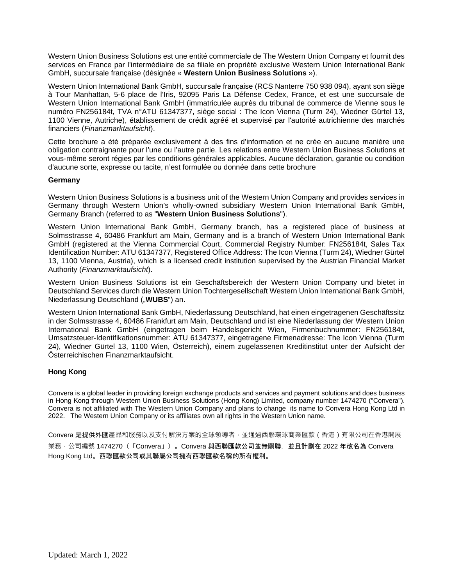Western Union Business Solutions est une entité commerciale de The Western Union Company et fournit des services en France par l'intermédiaire de sa filiale en propriété exclusive Western Union International Bank GmbH, succursale française (désignée « **Western Union Business Solutions** »).

Western Union International Bank GmbH, succursale française (RCS Nanterre 750 938 094), ayant son siège à Tour Manhattan, 5-6 place de l'Iris, 92095 Paris La Défense Cedex, France, et est une succursale de Western Union International Bank GmbH (immatriculée auprès du tribunal de commerce de Vienne sous le numéro FN256184t, TVA n°ATU 61347377, siège social : The Icon Vienna (Turm 24), Wiedner Gürtel 13, 1100 Vienne, Autriche), établissement de crédit agréé et supervisé par l'autorité autrichienne des marchés financiers (*Finanzmarktaufsicht*).

Cette brochure a été préparée exclusivement à des fins d'information et ne crée en aucune manière une obligation contraignante pour l'une ou l'autre partie. Les relations entre Western Union Business Solutions et vous-même seront régies par les conditions générales applicables. Aucune déclaration, garantie ou condition d'aucune sorte, expresse ou tacite, n'est formulée ou donnée dans cette brochure

### **Germany**

Western Union Business Solutions is a business unit of the Western Union Company and provides services in Germany through Western Union's wholly-owned subsidiary Western Union International Bank GmbH, Germany Branch (referred to as "**Western Union Business Solutions**").

Western Union International Bank GmbH, Germany branch, has a registered place of business at Solmsstrasse 4, 60486 Frankfurt am Main, Germany and is a branch of Western Union International Bank GmbH (registered at the Vienna Commercial Court, Commercial Registry Number: FN256184t, Sales Tax Identification Number: ATU 61347377, Registered Office Address: The Icon Vienna (Turm 24), Wiedner Gürtel 13, 1100 Vienna, Austria), which is a licensed credit institution supervised by the Austrian Financial Market Authority (*Finanzmarktaufsicht*).

Western Union Business Solutions ist ein Geschäftsbereich der Western Union Company und bietet in Deutschland Services durch die Western Union Tochtergesellschaft Western Union International Bank GmbH, Niederlassung Deutschland ("**WUBS**") an.

Western Union International Bank GmbH, Niederlassung Deutschland, hat einen eingetragenen Geschäftssitz in der Solmsstrasse 4, 60486 Frankfurt am Main, Deutschland und ist eine Niederlassung der Western Union International Bank GmbH (eingetragen beim Handelsgericht Wien, Firmenbuchnummer: FN256184t, Umsatzsteuer-Identifikationsnummer: ATU 61347377, eingetragene Firmenadresse: The Icon Vienna (Turm 24), Wiedner Gürtel 13, 1100 Wien, Österreich), einem zugelassenen Kreditinstitut unter der Aufsicht der Österreichischen Finanzmarktaufsicht.

### **Hong Kong**

Convera is a global leader in providing foreign exchange products and services and payment solutions and does business in Hong Kong through Western Union Business Solutions (Hong Kong) Limited, company number 1474270 ("Convera"). Convera is not affiliated with The Western Union Company and plans to change its name to Convera Hong Kong Ltd in 2022. The Western Union Company or its affiliates own all rights in the Western Union name.

Convera 是提供外匯產品和服務以及支付解決方案的全球領導者,並通過西聯環球商業匯款 (香港) 有限公司在香港開展 業務 · 公司編號 1474270(「Convera」)。Convera 與西聯匯款公司並無關聯,並且計劃在 2022 年改名為 Convera Hong Kong Ltd。西聯匯款公司或其聯屬公司擁有西聯匯款名稱的所有權利。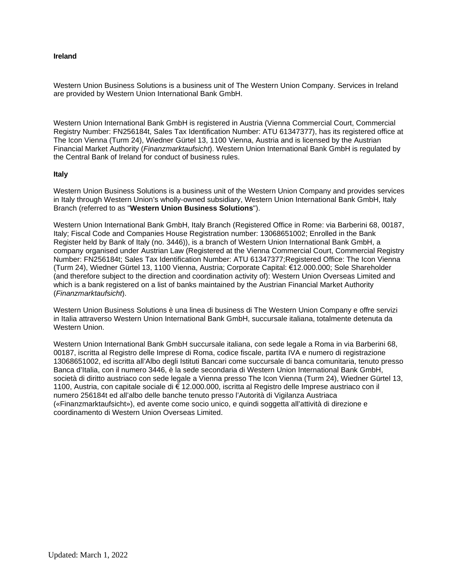### **Ireland**

Western Union Business Solutions is a business unit of The Western Union Company. Services in Ireland are provided by Western Union International Bank GmbH.

Western Union International Bank GmbH is registered in Austria (Vienna Commercial Court, Commercial Registry Number: FN256184t, Sales Tax Identification Number: ATU 61347377), has its registered office at The Icon Vienna (Turm 24), Wiedner Gürtel 13, 1100 Vienna, Austria and is licensed by the Austrian Financial Market Authority (*Finanzmarktaufsicht*). Western Union International Bank GmbH is regulated by the Central Bank of Ireland for conduct of business rules.

### **Italy**

Western Union Business Solutions is a business unit of the Western Union Company and provides services in Italy through Western Union's wholly-owned subsidiary, Western Union International Bank GmbH, Italy Branch (referred to as "**Western Union Business Solutions**").

Western Union International Bank GmbH, Italy Branch (Registered Office in Rome: via Barberini 68, 00187, Italy; Fiscal Code and Companies House Registration number: 13068651002; Enrolled in the Bank Register held by Bank of Italy (no. 3446)), is a branch of Western Union International Bank GmbH, a company organised under Austrian Law (Registered at the Vienna Commercial Court, Commercial Registry Number: FN256184t; Sales Tax Identification Number: ATU 61347377;Registered Office: The Icon Vienna (Turm 24), Wiedner Gürtel 13, 1100 Vienna, Austria; Corporate Capital: €12.000.000; Sole Shareholder (and therefore subject to the direction and coordination activity of): Western Union Overseas Limited and which is a bank registered on a list of banks maintained by the Austrian Financial Market Authority (*Finanzmarktaufsicht*).

Western Union Business Solutions è una linea di business di The Western Union Company e offre servizi in Italia attraverso Western Union International Bank GmbH, succursale italiana, totalmente detenuta da Western Union.

Western Union International Bank GmbH succursale italiana, con sede legale a Roma in via Barberini 68, 00187, iscritta al Registro delle Imprese di Roma, codice fiscale, partita IVA e numero di registrazione 13068651002, ed iscritta all'Albo degli Istituti Bancari come succursale di banca comunitaria, tenuto presso Banca d'Italia, con il numero 3446, è la sede secondaria di Western Union International Bank GmbH, società di diritto austriaco con sede legale a Vienna presso The Icon Vienna (Turm 24), Wiedner Gürtel 13, 1100, Austria, con capitale sociale di € 12.000.000, iscritta al Registro delle Imprese austriaco con il numero 256184t ed all'albo delle banche tenuto presso l'Autorità di Vigilanza Austriaca («Finanzmarktaufsicht»), ed avente come socio unico, e quindi soggetta all'attività di direzione e coordinamento di Western Union Overseas Limited.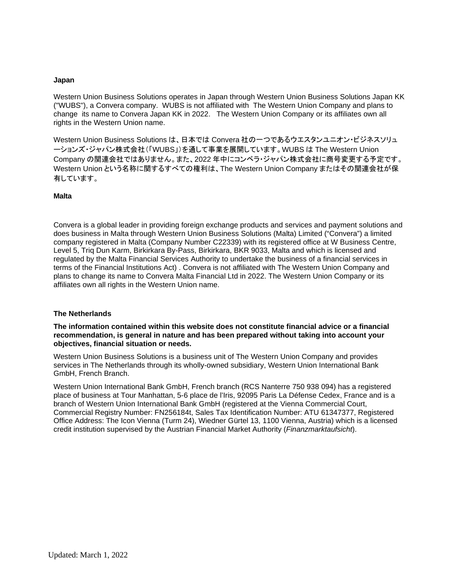#### **Japan**

Western Union Business Solutions operates in Japan through Western Union Business Solutions Japan KK ("WUBS"), a Convera company. WUBS is not affiliated with The Western Union Company and plans to change its name to Convera Japan KK in 2022. The Western Union Company or its affiliates own all rights in the Western Union name.

Western Union Business Solutions は、日本では Convera 社の一つであるウエスタンユニオン・ビジネスソリュ ーションズ・ジャパン株式会社(「WUBS」)を通して事業を展開しています。WUBS は The Western Union Company の関連会社ではありません。また、2022 年中にコンベラ・ジャパン株式会社に商号変更する予定です。 Western Union という名称に関するすべての権利は、The Western Union Company またはその関連会社が保 有しています。

#### **Malta**

Convera is a global leader in providing foreign exchange products and services and payment solutions and does business in Malta through Western Union Business Solutions (Malta) Limited ("Convera") a limited company registered in Malta (Company Number C22339) with its registered office at W Business Centre, Level 5, Triq Dun Karm, Birkirkara By-Pass, Birkirkara, BKR 9033, Malta and which is licensed and regulated by the Malta Financial Services Authority to undertake the business of a financial services in terms of the Financial Institutions Act) . Convera is not affiliated with The Western Union Company and plans to change its name to Convera Malta Financial Ltd in 2022. The Western Union Company or its affiliates own all rights in the Western Union name.

### **The Netherlands**

**The information contained within this website does not constitute financial advice or a financial recommendation, is general in nature and has been prepared without taking into account your objectives, financial situation or needs.** 

Western Union Business Solutions is a business unit of The Western Union Company and provides services in The Netherlands through its wholly-owned subsidiary, Western Union International Bank GmbH, French Branch.

Western Union International Bank GmbH, French branch (RCS Nanterre 750 938 094) has a registered place of business at Tour Manhattan, 5-6 place de l'Iris, 92095 Paris La Défense Cedex, France and is a branch of Western Union International Bank GmbH (registered at the Vienna Commercial Court, Commercial Registry Number: FN256184t, Sales Tax Identification Number: ATU 61347377, Registered Office Address: The Icon Vienna (Turm 24), Wiedner Gürtel 13, 1100 Vienna, Austria) which is a licensed credit institution supervised by the Austrian Financial Market Authority (*Finanzmarktaufsicht*).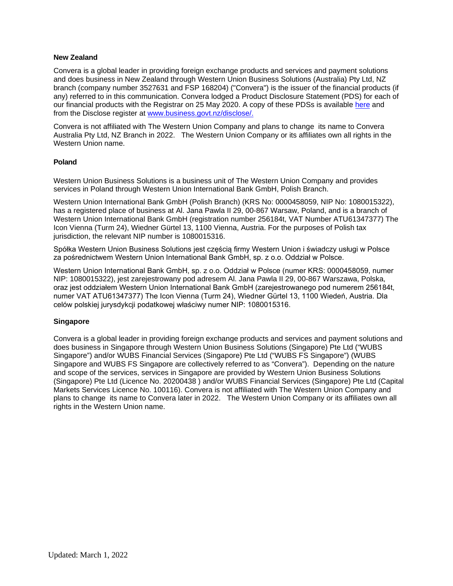#### **New Zealand**

Convera is a global leader in providing foreign exchange products and services and payment solutions and does business in New Zealand through Western Union Business Solutions (Australia) Pty Ltd, NZ branch (company number 3527631 and FSP 168204) ("Convera") is the issuer of the financial products (if any) referred to in this communication. Convera lodged a Product Disclosure Statement (PDS) for each of our financial products with the Registrar on 25 May 2020. A copy of these PDSs is available [here](http://business.westernunion.co.nz/about/compliance/) and from the Disclose register at [www.business.govt.nz/disclose/](http://www.business.govt.nz/disclose/).

Convera is not affiliated with The Western Union Company and plans to change its name to Convera Australia Pty Ltd, NZ Branch in 2022. The Western Union Company or its affiliates own all rights in the Western Union name.

#### **Poland**

Western Union Business Solutions is a business unit of The Western Union Company and provides services in Poland through Western Union International Bank GmbH, Polish Branch.

Western Union International Bank GmbH (Polish Branch) (KRS No: 0000458059, NIP No: 1080015322), has a registered place of business at Al. Jana Pawla II 29, 00-867 Warsaw, Poland, and is a branch of Western Union International Bank GmbH (registration number 256184t, VAT Number ATU61347377) The Icon Vienna (Turm 24), Wiedner Gürtel 13, 1100 Vienna, Austria. For the purposes of Polish tax jurisdiction, the relevant NIP number is 1080015316.

Spółka Western Union Business Solutions jest częścią firmy Western Union i świadczy usługi w Polsce za pośrednictwem Western Union International Bank GmbH, sp. z o.o. Oddział w Polsce.

Western Union International Bank GmbH, sp. z o.o. Oddział w Polsce (numer KRS: 0000458059, numer NIP: 1080015322), jest zarejestrowany pod adresem Al. Jana Pawla II 29, 00-867 Warszawa, Polska, oraz jest oddziałem Western Union International Bank GmbH (zarejestrowanego pod numerem 256184t, numer VAT ATU61347377) The Icon Vienna (Turm 24), Wiedner Gürtel 13, 1100 Wiedeń, Austria. Dla celów polskiej jurysdykcji podatkowej właściwy numer NIP: 1080015316.

### **Singapore**

Convera is a global leader in providing foreign exchange products and services and payment solutions and does business in Singapore through Western Union Business Solutions (Singapore) Pte Ltd ("WUBS Singapore") and/or WUBS Financial Services (Singapore) Pte Ltd ("WUBS FS Singapore") (WUBS Singapore and WUBS FS Singapore are collectively referred to as "Convera"). Depending on the nature and scope of the services, services in Singapore are provided by Western Union Business Solutions (Singapore) Pte Ltd (Licence No. 20200438 ) and/or WUBS Financial Services (Singapore) Pte Ltd (Capital Markets Services Licence No. 100116). Convera is not affiliated with The Western Union Company and plans to change its name to Convera later in 2022. The Western Union Company or its affiliates own all rights in the Western Union name.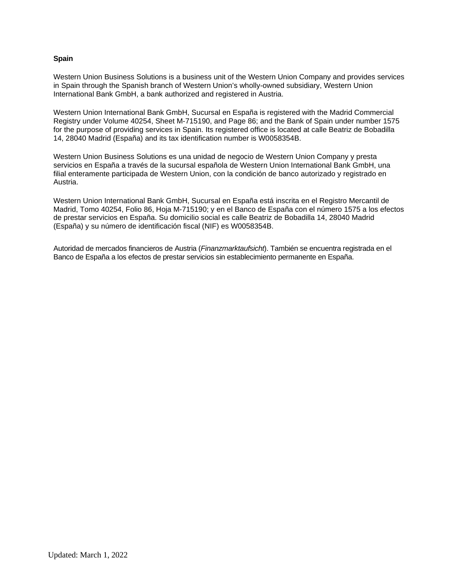### **Spain**

Western Union Business Solutions is a business unit of the Western Union Company and provides services in Spain through the Spanish branch of Western Union's wholly-owned subsidiary, Western Union International Bank GmbH, a bank authorized and registered in Austria.

Western Union International Bank GmbH, Sucursal en España is registered with the Madrid Commercial Registry under Volume 40254, Sheet M-715190, and Page 86; and the Bank of Spain under number 1575 for the purpose of providing services in Spain. Its registered office is located at calle Beatriz de Bobadilla 14, 28040 Madrid (España) and its tax identification number is W0058354B.

Western Union Business Solutions es una unidad de negocio de Western Union Company y presta servicios en España a través de la sucursal española de Western Union International Bank GmbH, una filial enteramente participada de Western Union, con la condición de banco autorizado y registrado en Austria.

Western Union International Bank GmbH, Sucursal en España está inscrita en el Registro Mercantil de Madrid, Tomo 40254, Folio 86, Hoja M-715190; y en el Banco de España con el número 1575 a los efectos de prestar servicios en España. Su domicilio social es calle Beatriz de Bobadilla 14, 28040 Madrid (España) y su número de identificación fiscal (NIF) es W0058354B.

Autoridad de mercados financieros de Austria (*Finanzmarktaufsicht*). También se encuentra registrada en el Banco de España a los efectos de prestar servicios sin establecimiento permanente en España.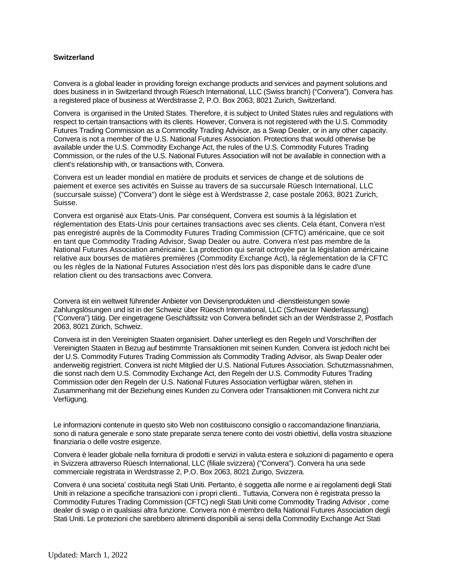## **Switzerland**

Convera is a global leader in providing foreign exchange products and services and payment solutions and does business in in Switzerland through Rüesch International, LLC (Swiss branch) ("Convera"). Convera has a registered place of business at Werdstrasse 2, P.O. Box 2063, 8021 Zurich, Switzerland.

Convera is organised in the United States. Therefore, it is subject to United States rules and regulations with respect to certain transactions with its clients. However, Convera is not registered with the U.S. Commodity Futures Trading Commission as a Commodity Trading Advisor, as a Swap Dealer, or in any other capacity. Convera is not a member of the U.S. National Futures Association. Protections that would otherwise be available under the U.S. Commodity Exchange Act, the rules of the U.S. Commodity Futures Trading Commission, or the rules of the U.S. National Futures Association will not be available in connection with a client's relationship with, or transactions with, Convera.

Convera est un leader mondial en matière de produits et services de change et de solutions de paiement et exerce ses activités en Suisse au travers de sa succursale Rüesch International, LLC (succursale suisse) ("Convera") dont le siège est à Werdstrasse 2, case postale 2063, 8021 Zurich, Suisse.

Convera est organisé aux Etats-Unis. Par conséquent, Convera est soumis à la législation et réglementation des Etats-Unis pour certaines transactions avec ses clients. Cela étant, Convera n'est pas enregistré auprès de la Commodity Futures Trading Commission (CFTC) américaine, que ce soit en tant que Commodity Trading Advisor, Swap Dealer ou autre. Convera n'est pas membre de la National Futures Association américaine. La protection qui serait octroyée par la législation américaine relative aux bourses de matières premières (Commodity Exchange Act), la réglementation de la CFTC ou les règles de la National Futures Association n'est dès lors pas disponible dans le cadre d'une relation client ou des transactions avec Convera.

Convera ist ein weltweit führender Anbieter von Devisenprodukten und -dienstleistungen sowie Zahlungslösungen und ist in der Schweiz über Rüesch International, LLC (Schweizer Niederlassung) ("Convera") tätig. Der eingetragene Geschäftssitz von Convera befindet sich an der Werdstrasse 2, Postfach 2063, 8021 Zürich, Schweiz.

Convera ist in den Vereinigten Staaten organisiert. Daher unterliegt es den Regeln und Vorschriften der Vereinigten Staaten in Bezug auf bestimmte Transaktionen mit seinen Kunden. Convera ist jedoch nicht bei der U.S. Commodity Futures Trading Commission als Commodity Trading Advisor, als Swap Dealer oder anderweitig registriert. Convera ist nicht Mitglied der U.S. National Futures Association. Schutzmassnahmen, die sonst nach dem U.S. Commodity Exchange Act, den Regeln der U.S. Commodity Futures Trading Commission oder den Regeln der U.S. National Futures Association verfügbar wären, stehen in Zusammenhang mit der Beziehung eines Kunden zu Convera oder Transaktionen mit Convera nicht zur Verfügung.

Le informazioni contenute in questo sito Web non costituiscono consiglio o raccomandazione finanziaria, sono di natura generale e sono state preparate senza tenere conto dei vostri obiettivi, della vostra situazione finanziaria o delle vostre esigenze.

Convera è leader globale nella fornitura di prodotti e servizi in valuta estera e soluzioni di pagamento e opera in Svizzera attraverso Rüesch International, LLC (filiale svizzera) ("Convera"). Convera ha una sede commerciale registrata in Werdstrasse 2, P.O. Box 2063, 8021 Zurigo, Svizzera.

Convera è una societa' costituita negli Stati Uniti. Pertanto, è soggetta alle norme e ai regolamenti degli Stati Uniti in relazione a specifiche transazioni con i propri clienti.. Tuttavia, Convera non è registrata presso la Commodity Futures Trading Commission (CFTC) negli Stati Uniti come Commodity Trading Advisor , come dealer di swap o in qualsiasi altra funzione. Convera non è membro della National Futures Association degli Stati Uniti. Le protezioni che sarebbero altrimenti disponibili ai sensi della Commodity Exchange Act Stati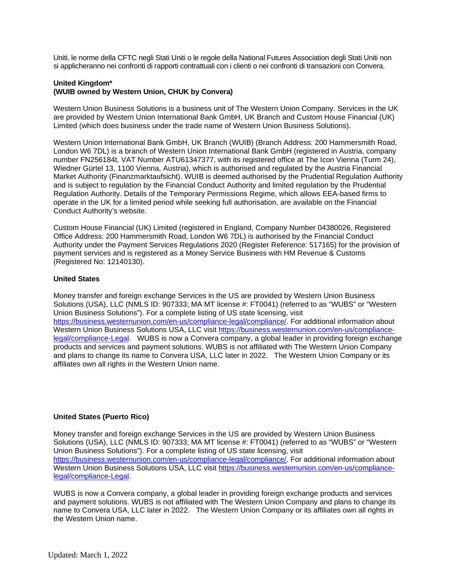Uniti, le norme della CFTC negli Stati Uniti o le regole della National Futures Association degli Stati Uniti non si applicheranno nei confronti di rapporti contrattuali con i clienti o nei confronti di transazioni con Convera.

# **United Kingdom\* (WUIB owned by Western Union, CHUK by Convera)**

Western Union Business Solutions is a business unit of The Western Union Company. Services in the UK are provided by Western Union International Bank GmbH, UK Branch and Custom House Financial (UK) Limited (which does business under the trade name of Western Union Business Solutions).

Western Union International Bank GmbH, UK Branch (WUIB) (Branch Address: 200 Hammersmith Road, London W6 7DL) is a branch of Western Union International Bank GmbH (registered in Austria, company number FN256184t, VAT Number ATU61347377, with its registered office at The Icon Vienna (Turm 24), Wiedner Gürtel 13, 1100 Vienna, Austria), which is authorised and regulated by the Austria Financial Market Authority (Finanzmarktaufsicht). WUIB is deemed authorised by the Prudential Regulation Authority and is subject to regulation by the Financial Conduct Authority and limited regulation by the Prudential Regulation Authority. Details of the Temporary Permissions Regime, which allows EEA-based firms to operate in the UK for a limited period while seeking full authorisation, are available on the Financial Conduct Authority's website.

Custom House Financial (UK) Limited (registered in England, Company Number 04380026, Registered Office Address: 200 Hammersmith Road, London W6 7DL) is authorised by the Financial Conduct Authority under the Payment Services Regulations 2020 (Register Reference: 517165) for the provision of payment services and is registered as a Money Service Business with HM Revenue & Customs (Registered No: 12140130).

## **United States**

Money transfer and foreign exchange Services in the US are provided by Western Union Business Solutions (USA), LLC (NMLS ID: 907333; MA MT license #: FT0041) (referred to as "WUBS" or "Western Union Business Solutions"). For a complete listing of US state licensing, visit <https://business.westernunion.com/en-us/compliance-legal/compliance/>. For additional information about Western Union Business Solutions USA, LLC visit [https://business.westernunion.com/en-us/compliance](https://business.westernunion.com/en-us/compliance-legal/compliance-Legal)[legal/compliance-Legal. WUBS is now a Convera company, a global leader in providing foreign exchange](https://business.westernunion.com/en-us/compliance-legal/compliance-Legal)  products and services and payment solutions. WUBS is not affiliated with The Western Union Company and plans to change its name to Convera USA, LLC later in 2022. The Western Union Company or its affiliates own all rights in the Western Union name.

### **United States (Puerto Rico)**

Money transfer and foreign exchange Services in the US are provided by Western Union Business Solutions (USA), LLC (NMLS ID: 907333; MA MT license #: FT0041) (referred to as "WUBS" or "Western Union Business Solutions"). For a complete listing of US state licensing, visit <https://business.westernunion.com/en-us/compliance-legal/compliance/>. For additional information about Western Union Business Solutions USA, LLC visit [https://business.westernunion.com/en-us/compliance](https://business.westernunion.com/en-us/compliance-legal/compliance-Legal)[legal/compliance-Legal.](https://business.westernunion.com/en-us/compliance-legal/compliance-Legal) 

WUBS is now a Convera company, a global leader in providing foreign exchange products and services and payment solutions. WUBS is not affiliated with The Western Union Company and plans to change its name to Convera USA, LLC later in 2022. The Western Union Company or its affiliates own all rights in the Western Union name.